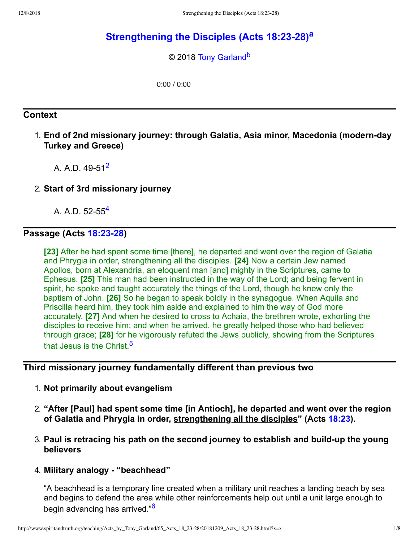# **[Strengthening](http://www.spiritandtruth.org/teaching/Acts_by_Tony_Garland/65_Acts_18_23-28/index.htm) the Disciples (Acts 18:2328) [a](#page-7-0)**

<span id="page-0-5"></span><span id="page-0-4"></span>© 2018 [Tony Garland](http://www.spiritandtruth.org/id/tg.htm)<sup>[b](#page-7-1)</sup>

0:00 / 0:00

## **Context**

- 1. **End of 2nd missionary journey: through Galatia, Asia minor, Macedonia (modernday Turkey and Greece)**
	- A. A.D. 49-51<sup>[2](#page-7-2)</sup>
- 2. **Start of 3rd missionary journey**

<span id="page-0-1"></span><span id="page-0-0"></span>A. A.D. 52-55<sup>[4](#page-7-3)</sup>

## **Passage** (Acts 18:23-28)

**[23]** After he had spent some time [there], he departed and went over the region of Galatia and Phrygia in order, strengthening all the disciples. **[24]** Now a certain Jew named Apollos, born at Alexandria, an eloquent man [and] mighty in the Scriptures, came to Ephesus. **[25]** This man had been instructed in the way of the Lord; and being fervent in spirit, he spoke and taught accurately the things of the Lord, though he knew only the baptism of John. **[26]** So he began to speak boldly in the synagogue. When Aquila and Priscilla heard him, they took him aside and explained to him the way of God more accurately. **[27]** And when he desired to cross to Achaia, the brethren wrote, exhorting the disciples to receive him; and when he arrived, he greatly helped those who had believed through grace; **[28]** for he vigorously refuted the Jews publicly, showing from the Scriptures that Jesus is the Christ.<sup>[5](#page-7-4)</sup>

#### **Third missionary journey fundamentally different than previous two**

- <span id="page-0-2"></span>1. **Not primarily about evangelism**
- 2. **"After [Paul] had spent some time [in Antioch], he departed and went over the region of Galatia and Phrygia in order, strengthening all the disciples" (Acts [18:23](http://www.spiritandtruth.org/bibles/nasb/b44c018.htm#Acts_C18V23)).**
- 3. **Paul is retracing his path on the second journey to establish and buildup the young believers**
- 4. **Military analogy "beachhead"**

<span id="page-0-3"></span>"A beachhead is a temporary line created when a military unit reaches a landing beach by sea and begins to defend the area while other reinforcements help out until a unit large enough to begin advancing has arrived."<sup>[6](#page-7-5)</sup>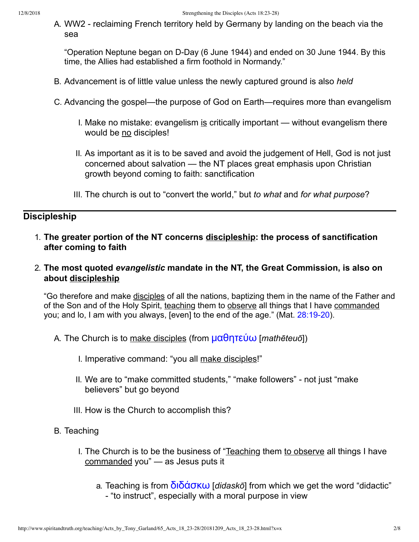A. WW2 - reclaiming French territory held by Germany by landing on the beach via the sea

"Operation Neptune began on D-Day (6 June 1944) and ended on 30 June 1944. By this time, the Allies had established a firm foothold in Normandy."

- B. Advancement is of little value unless the newly captured ground is also *held*
- C. Advancing the gospel—the purpose of God on Earth—requires more than evangelism
	- I. Make no mistake: evangelism is critically important without evangelism there would be no disciples!
	- II. As important as it is to be saved and avoid the judgement of Hell, God is not just concerned about salvation — the NT places great emphasis upon Christian growth beyond coming to faith: sanctification
	- III. The church is out to "convert the world," but *to what* and *for what purpose*?

## **Discipleship**

- 1. **The greater portion of the NT concerns discipleship: the process of sanctification after coming to faith**
- 2. **The most quoted** *evangelistic* **mandate in the NT, the Great Commission, is also on about discipleship**

"Go therefore and make disciples of all the nations, baptizing them in the name of the Father and of the Son and of the Holy Spirit, teaching them to observe all things that I have commanded you; and lo, I am with you always, [even] to the end of the age." (Mat. 28:19-20).

- A. The Church is to make disciples (from [μαθητεύω](http://www.spiritandtruth.org/fontsu/index.htm) [*mathēteuō*])
	- I. Imperative command: "you all make disciples!"
	- II. We are to "make committed students," "make followers" not just "make believers" but go beyond
	- III. How is the Church to accomplish this?
- B. Teaching
	- I. The Church is to be the business of "Teaching them to observe all things I have commanded you" — as Jesus puts it
		- a. Teaching is from [διδάσκω](http://www.spiritandtruth.org/fontsu/index.htm) [*didaskō*] from which we get the word "didactic" "to instruct", especially with a moral purpose in view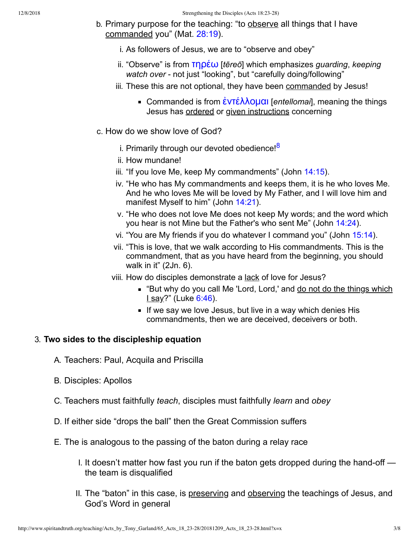- b. Primary purpose for the teaching: "to observe all things that I have commanded you" (Mat. [28:19\)](http://www.spiritandtruth.org/bibles/nasb/b40c028.htm#Mat._C28V19).
	- i. As followers of Jesus, we are to "observe and obey"
	- ii. "Observe" is from [τηρέω](http://www.spiritandtruth.org/fontsu/index.htm) [*tēreō*] which emphasizes *guarding*, *keeping* watch over - not just "looking", but "carefully doing/following"
	- iii. These this are not optional, they have been commanded by Jesus!
		- Commanded is from [ἐντέλλομαι](http://www.spiritandtruth.org/fontsu/index.htm) [*entellomai*], meaning the things Jesus has ordered or given instructions concerning
- <span id="page-2-0"></span>c. How do we show love of God?
	- i. Primarily through our devoted obedience!<sup>[8](#page-7-6)</sup>
	- ii. How mundane!
	- iii. "If you love Me, keep My commandments" (John [14:15\)](http://www.spiritandtruth.org/bibles/nasb/b43c014.htm#John_C14V15).
	- iv. "He who has My commandments and keeps them, it is he who loves Me. And he who loves Me will be loved by My Father, and I will love him and manifest Myself to him" (John [14:21](http://www.spiritandtruth.org/bibles/nasb/b43c014.htm#John_C14V21)).
	- v. "He who does not love Me does not keep My words; and the word which you hear is not Mine but the Father's who sent Me" (John [14:24\)](http://www.spiritandtruth.org/bibles/nasb/b43c014.htm#John_C14V24).
	- vi. "You are My friends if you do whatever I command you" (John [15:14\)](http://www.spiritandtruth.org/bibles/nasb/b43c015.htm#John_C15V14).
	- vii. "This is love, that we walk according to His commandments. This is the commandment, that as you have heard from the beginning, you should walk in it" (2Jn. 6).
	- viii. How do disciples demonstrate a lack of love for Jesus?
		- "But why do you call Me 'Lord, Lord,' and do not do the things which  $Isay?"$  (Luke  $6:46$ ).
		- If we say we love Jesus, but live in a way which denies His commandments, then we are deceived, deceivers or both.

#### 3. **Two sides to the discipleship equation**

- A. Teachers: Paul, Acquila and Priscilla
- B. Disciples: Apollos
- C. Teachers must faithfully *teach*, disciples must faithfully *learn* and *obey*
- D. If either side "drops the ball" then the Great Commission suffers
- E. The is analogous to the passing of the baton during a relay race
	- I. It doesn't matter how fast you run if the baton gets dropped during the hand-off  $$ the team is disqualified
	- II. The "baton" in this case, is preserving and observing the teachings of Jesus, and God's Word in general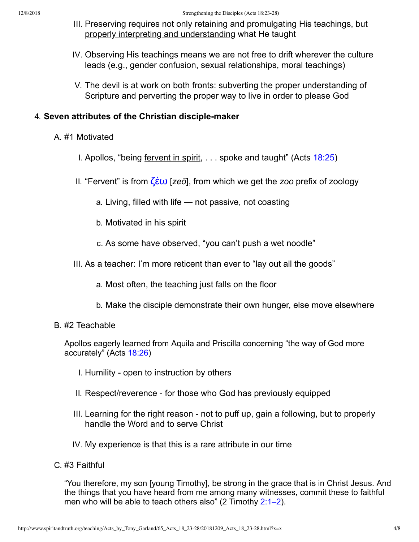- III. Preserving requires not only retaining and promulgating His teachings, but properly interpreting and understanding what He taught
- IV. Observing His teachings means we are not free to drift wherever the culture leads (e.g., gender confusion, sexual relationships, moral teachings)
- V. The devil is at work on both fronts: subverting the proper understanding of Scripture and perverting the proper way to live in order to please God

#### 4. **Seven attributes of the Christian disciplemaker**

- A. #1 Motivated
	- I. Apollos, "being fervent in spirit, . . . spoke and taught" (Acts [18:25](http://www.spiritandtruth.org/bibles/nasb/b44c018.htm#Acts_C18V25))
	- II. "Fervent" is from [ζέω](http://www.spiritandtruth.org/fontsu/index.htm) [*zeō*], from which we get the *zoo* prefix of zoology
		- a. Living, filled with life not passive, not coasting
		- b. Motivated in his spirit
		- c. As some have observed, "you can't push a wet noodle"
	- III. As a teacher: I'm more reticent than ever to "lay out all the goods"
		- a. Most often, the teaching just falls on the floor
		- b. Make the disciple demonstrate their own hunger, else move elsewhere
- B. #2 Teachable

Apollos eagerly learned from Aquila and Priscilla concerning "the way of God more accurately" (Acts [18:26\)](http://www.spiritandtruth.org/bibles/nasb/b44c018.htm#Acts_C18V26)

- I. Humility open to instruction by others
- II. Respect/reverence for those who God has previously equipped
- III. Learning for the right reason not to puff up, gain a following, but to properly handle the Word and to serve Christ
- IV. My experience is that this is a rare attribute in our time
- C. #3 Faithful

"You therefore, my son [young Timothy], be strong in the grace that is in Christ Jesus. And the things that you have heard from me among many witnesses, commit these to faithful men who will be able to teach others also" (2 Timothy  $2:1-2$ ).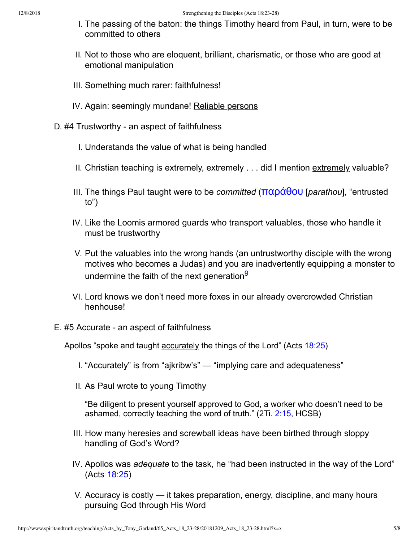- I. The passing of the baton: the things Timothy heard from Paul, in turn, were to be committed to others
- II. Not to those who are eloquent, brilliant, charismatic, or those who are good at emotional manipulation
- III. Something much rarer: faithfulness!
- IV. Again: seemingly mundane! Reliable persons
- D. #4 Trustworthy an aspect of faithfulness
	- I. Understands the value of what is being handled
	- II. Christian teaching is extremely, extremely . . . did I mention extremely valuable?
	- III. The things Paul taught were to be *committed* ([παράθου](http://www.spiritandtruth.org/fontsu/index.htm) [*parathou*], "entrusted to")
	- IV. Like the Loomis armored guards who transport valuables, those who handle it must be trustworthy
	- V. Put the valuables into the wrong hands (an untrustworthy disciple with the wrong motives who becomes a Judas) and you are inadvertently equipping a monster to undermine the faith of the next generation<sup>[9](#page-7-7)</sup>
	- VI. Lord knows we don't need more foxes in our already overcrowded Christian henhouse!
- E. #5 Accurate an aspect of faithfulness

Apollos "spoke and taught accurately the things of the Lord" (Acts [18:25](http://www.spiritandtruth.org/bibles/nasb/b44c018.htm#Acts_C18V25))

- <span id="page-4-0"></span>I. "Accurately" is from "ajkribw's" — "implying care and adequateness"
- II. As Paul wrote to young Timothy

"Be diligent to present yourself approved to God, a worker who doesn't need to be ashamed, correctly teaching the word of truth." (2Ti. [2:15](http://www.spiritandtruth.org/bibles/nasb/b55c002.htm#2Ti._C2V15), HCSB)

- III. How many heresies and screwball ideas have been birthed through sloppy handling of God's Word?
- IV. Apollos was *adequate* to the task, he "had been instructed in the way of the Lord" (Acts [18:25\)](http://www.spiritandtruth.org/bibles/nasb/b44c018.htm#Acts_C18V25)
- V. Accuracy is costly it takes preparation, energy, discipline, and many hours pursuing God through His Word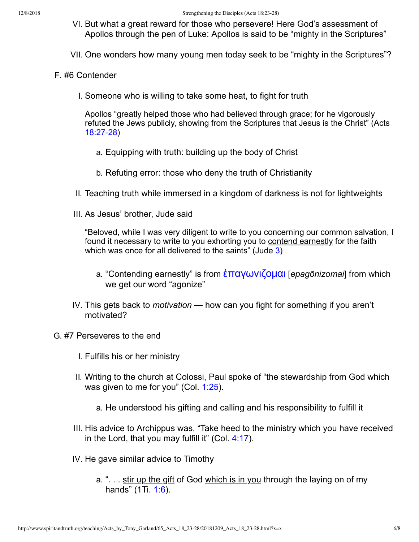- VI. But what a great reward for those who persevere! Here God's assessment of Apollos through the pen of Luke: Apollos is said to be "mighty in the Scriptures"
- VII. One wonders how many young men today seek to be "mighty in the Scriptures"?
- F. #6 Contender
	- I. Someone who is willing to take some heat, to fight for truth

Apollos "greatly helped those who had believed through grace; for he vigorously refuted the Jews publicly, showing from the Scriptures that Jesus is the Christ" (Acts 18:27-28)

- a. Equipping with truth: building up the body of Christ
- b. Refuting error: those who deny the truth of Christianity
- II. Teaching truth while immersed in a kingdom of darkness is not for lightweights
- III. As Jesus' brother, Jude said

"Beloved, while I was very diligent to write to you concerning our common salvation, I found it necessary to write to you exhorting you to contend earnestly for the faith which was once for all delivered to the saints" (Jude [3](http://www.spiritandtruth.org/bibles/nasb/b07c003.htm#Jdg._C3V1))

- a. "Contending earnestly" is from [ἐπαγωνιζομαι](http://www.spiritandtruth.org/fontsu/index.htm) [*epagōnizomai*] from which we get our word "agonize"
- IV. This gets back to *motivation* how can you fight for something if you aren't motivated?
- G. #7 Perseveres to the end
	- I. Fulfills his or her ministry
	- II. Writing to the church at Colossi, Paul spoke of "the stewardship from God which was given to me for you" (Col. [1:25](http://www.spiritandtruth.org/bibles/nasb/b51c001.htm#Col._C1V25)).
		- a. He understood his gifting and calling and his responsibility to fulfill it
	- III. His advice to Archippus was, "Take heed to the ministry which you have received in the Lord, that you may fulfill it" (Col.  $4:17$ ).
	- IV. He gave similar advice to Timothy
		- a. ". . . stir up the gift of God which is in you through the laying on of my hands" (1Ti. [1:6\)](http://www.spiritandtruth.org/bibles/nasb/b54c001.htm#1Ti._C1V6).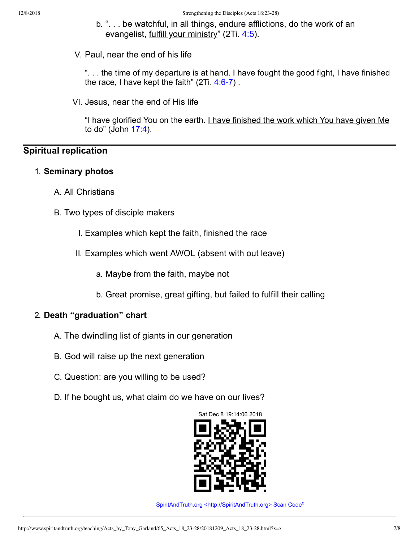- b. ". . . be watchful, in all things, endure afflictions, do the work of an evangelist, fulfill your ministry" (2Ti. [4:5\)](http://www.spiritandtruth.org/bibles/nasb/b55c004.htm#2Ti._C4V5).
- V. Paul, near the end of his life

". . . the time of my departure is at hand. I have fought the good fight, I have finished the race, I have kept the faith"  $(2Ti. 4:6-7)$ .

VI. Jesus, near the end of His life

"I have glorified You on the earth. I have finished the work which You have given Me to do" (John [17:4\)](http://www.spiritandtruth.org/bibles/nasb/b43c017.htm#John_C17V4).

## **Spiritual replication**

#### 1. **Seminary photos**

- A. All Christians
- B. Two types of disciple makers
	- I. Examples which kept the faith, finished the race
	- II. Examples which went AWOL (absent with out leave)
		- a. Maybe from the faith, maybe not
		- b. Great promise, great gifting, but failed to fulfill their calling

## 2. **Death "graduation" chart**

- A. The dwindling list of giants in our generation
- B. God will raise up the next generation
- C. Question: are you willing to be used?
- D. If he bought us, what claim do we have on our lives?



<span id="page-6-0"></span>SpiritAndTruth.org [<http://SpiritAndTruth.org>](http://www.spiritandtruth.org%20%3Chttp//www.spiritandtruth.org%3E) S[c](#page-7-8)an Code<sup>c</sup>